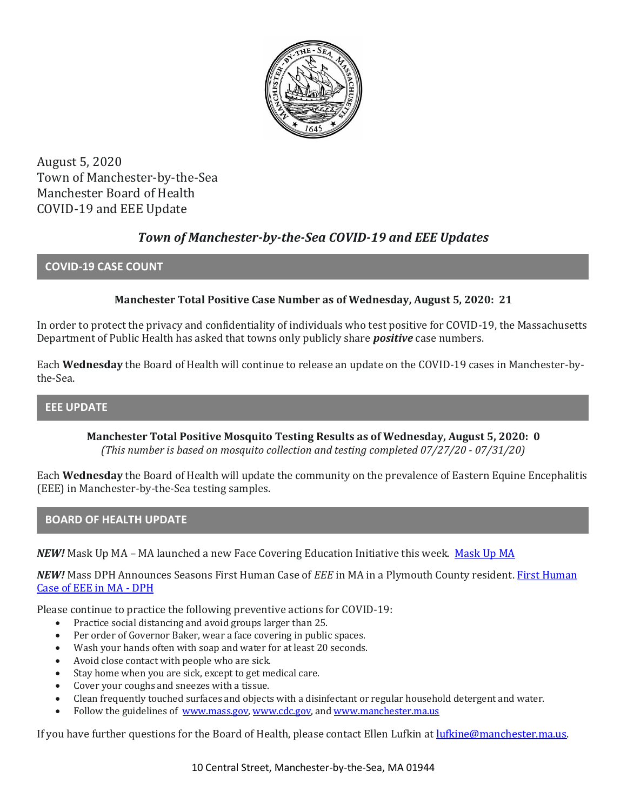

August 5, 2020 Town of Manchester-by-the-Sea Manchester Board of Health COVID-19 and EEE Update

# *Town of Manchester-by-the-Sea COVID-19 and EEE Updates*

### **COVID-19 CASE COUNT**

## **Manchester Total Positive Case Number as of Wednesday, August 5, 2020: 21**

In order to protect the privacy and confidentiality of individuals who test positive for COVID-19, the Massachusetts Department of Public Health has asked that towns only publicly share *positive* case numbers.

Each **Wednesday** the Board of Health will continue to release an update on the COVID-19 cases in Manchester-bythe-Sea.

### **EEE UPDATE**

**Manchester Total Positive Mosquito Testing Results as of Wednesday, August 5, 2020: 0** *(This number is based on mosquito collection and testing completed 07/27/20 - 07/31/20)*

Each **Wednesday** the Board of Health will update the community on the prevalence of Eastern Equine Encephalitis (EEE) in Manchester-by-the-Sea testing samples.

### **BOARD OF HEALTH UPDATE**

*NEW!* Mask Up MA – MA launched a new Face Covering Education Initiative this week. [Mask Up MA](https://www.mass.gov/news/mask-up-ma)

*NEW!* Mass DPH Announces Seasons First Human Case of *EEE* in MA in a Plymouth County resident. [First Human](https://www.mass.gov/news/state-public-health-officials-announce-seasons-first-human-case-of-eee-in-the-commonwealth)  [Case of EEE in MA -](https://www.mass.gov/news/state-public-health-officials-announce-seasons-first-human-case-of-eee-in-the-commonwealth) DPH

Please continue to practice the following preventive actions for COVID-19:

- Practice social distancing and avoid groups larger than 25.
- Per order of Governor Baker, wear a face covering in public spaces.
- Wash your hands often with soap and water for at least 20 seconds.
- Avoid close contact with people who are sick.
- Stay home when you are sick, except to get medical care.
- Cover your coughs and sneezes with a tissue.
- Clean frequently touched surfaces and objects with a disinfectant or regular household detergent and water.
- Follow the guidelines of [www.mass.gov,](https://www.mass.gov/) [www.cdc.gov,](https://www.cdc.gov/) an[d www.manchester.ma.us](http://www.manchester.ma.us/)

If you have further questions for the Board of Health, please contact Ellen Lufkin at [lufkine@manchester.ma.us.](mailto:lufkine@manchester.ma.us)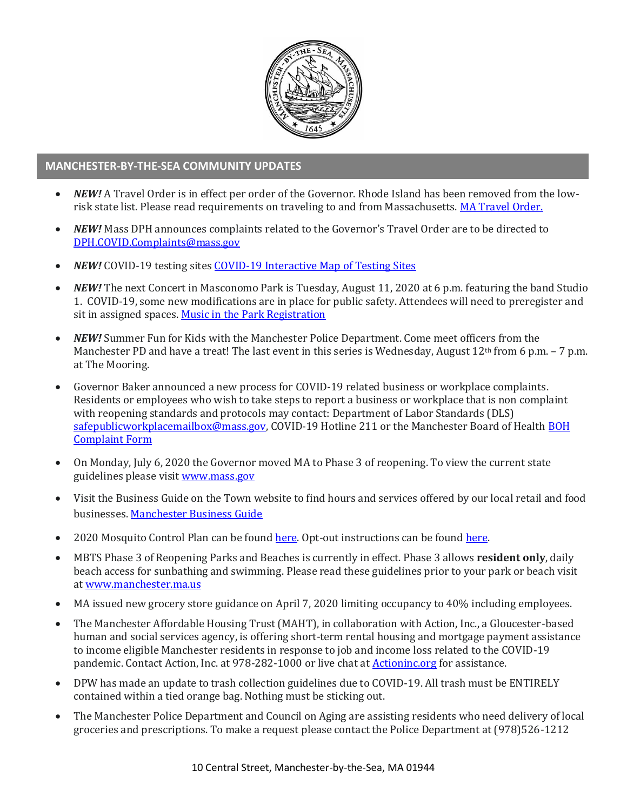

### **MANCHESTER-BY-THE-SEA COMMUNITY UPDATES**

- *NEW!* A Travel Order is in effect per order of the Governor. Rhode Island has been removed from the lowrisk state list. Please read requirements on traveling to and from Massachusetts. [MA Travel Order.](https://www.mass.gov/info-details/covid-19-travel-order)
- *NEW!* Mass DPH announces complaints related to the Governor's Travel Order are to be directed to [DPH.COVID.Complaints@mass.gov](mailto:DPH.COVID.Complaints@mass.gov)
- *NEW!* COVID-19 testing site[s COVID-19 Interactive](https://memamaps.maps.arcgis.com/apps/webappviewer/index.html?id=eba3f0395451430b9f631cb095febf13) Map of Testing Sites
- *NEW!* The next Concert in Masconomo Park is Tuesday, August 11, 2020 at 6 p.m. featuring the band Studio 1. COVID-19, some new modifications are in place for public safety. Attendees will need to preregister and sit in assigned spaces[. Music in the Park Registration](https://manchesterma.myrec.com/info/activities/program_details.aspx?ProgramID=29989)
- *NEW!* Summer Fun for Kids with the Manchester Police Department. Come meet officers from the Manchester PD and have a treat! The last event in this series is Wednesday, August 12<sup>th</sup> from 6 p.m. - 7 p.m. at The Mooring.
- Governor Baker announced a new process for COVID-19 related business or workplace complaints. Residents or employees who wish to take steps to report a business or workplace that is non complaint with reopening standards and protocols may contact: Department of Labor Standards (DLS) [safepublicworkplacemailbox@mass.gov,](mailto:safepublicworkplacemailbox@mass.gov) COVID-19 Hotline 211 or the Manchester Board of Healt[h BOH](http://manchester.ma.us/DocumentCenter/View/3282/Board-of-Health-Complaint-Form-2020)  [Complaint Form](http://manchester.ma.us/DocumentCenter/View/3282/Board-of-Health-Complaint-Form-2020)
- On Monday, July 6, 2020 the Governor moved MA to Phase 3 of reopening. To view the current state guidelines please visi[t www.mass.gov](http://www.mass.gov/)
- Visit the Business Guide on the Town website to find hours and services offered by our local retail and food businesses[. Manchester Business Guide](http://manchester.ma.us/728/Business)
- 2020 Mosquito Control Plan can be found [here.](https://www.nemassmosquito.org/home/pages/manchester-sea) Opt-out instructions can be found [here.](http://manchester.ma.us/DocumentCenter/View/3214/2020-Process-To-Exclude-Property-From-Mosquito-Spraying)
- MBTS Phase 3 of Reopening Parks and Beaches is currently in effect. Phase 3 allows **resident only**, daily beach access for sunbathing and swimming. Please read these guidelines prior to your park or beach visit a[t www.manchester.ma.us](http://manchester.ma.us/)
- MA issued new grocery store guidance on April 7, 2020 limiting occupancy to 40% including employees.
- The Manchester Affordable Housing Trust (MAHT), in collaboration with Action, Inc., a Gloucester-based human and social services agency, is offering short-term rental housing and mortgage payment assistance to income eligible Manchester residents in response to job and income loss related to the COVID-19 pandemic. Contact Action, Inc. at 978-282-1000 or live chat at [Actioninc.org](https://actioninc.org/) for assistance.
- DPW has made an update to trash collection guidelines due to COVID-19. All trash must be ENTIRELY contained within a tied orange bag. Nothing must be sticking out.
- The Manchester Police Department and Council on Aging are assisting residents who need delivery of local groceries and prescriptions. To make a request please contact the Police Department at (978)526-1212